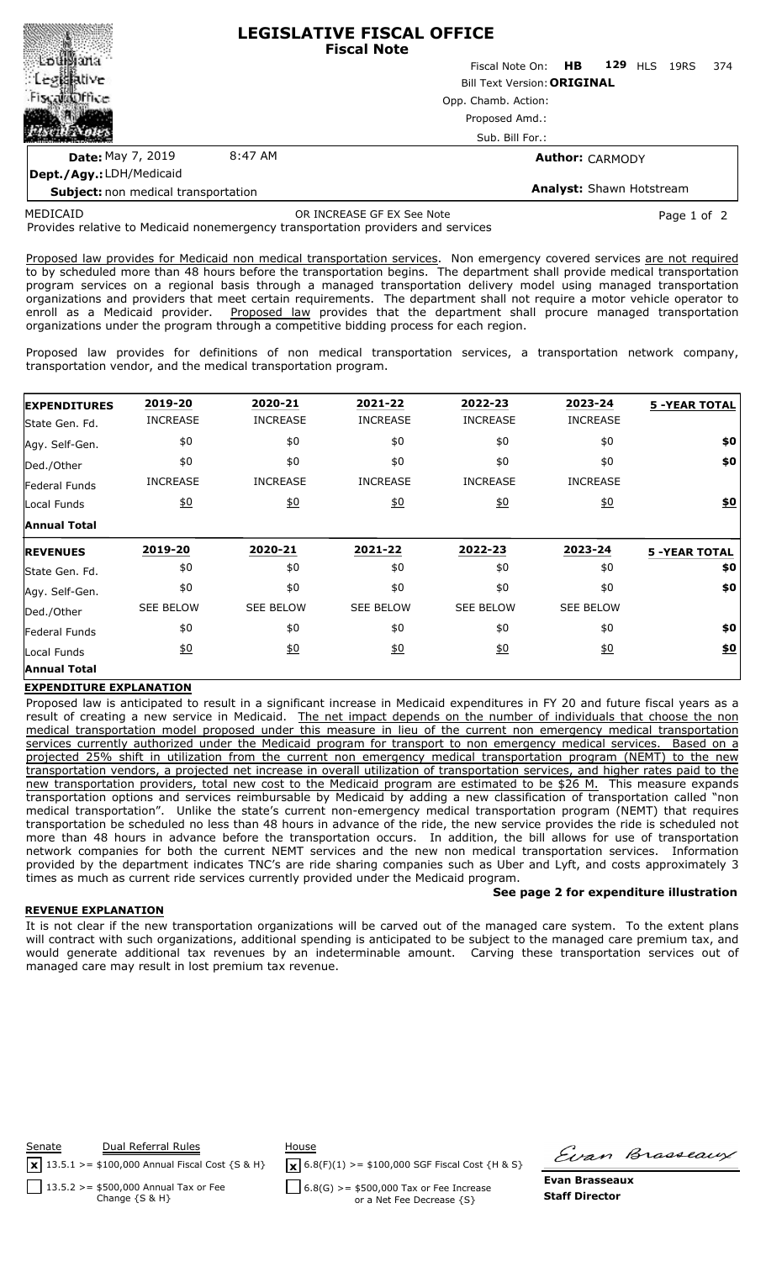

**Dept./Agy.:** LDH/Medicaid

**Analyst:** Shawn Hotstream

**Subject:** non medical transportation

Provides relative to Medicaid nonemergency transportation providers and services MEDICAID OR INCREASE GF EX See Note Page 1 of 2

Proposed law provides for Medicaid non medical transportation services. Non emergency covered services are not required to by scheduled more than 48 hours before the transportation begins. The department shall provide medical transportation program services on a regional basis through a managed transportation delivery model using managed transportation organizations and providers that meet certain requirements. The department shall not require a motor vehicle operator to enroll as a Medicaid provider. Proposed law provides that the department shall procure managed transportation organizations under the program through a competitive bidding process for each region.

Proposed law provides for definitions of non medical transportation services, a transportation network company, transportation vendor, and the medical transportation program.

| <b>EXPENDITURES</b>  | 2019-20          | 2020-21          | 2021-22           | 2022-23          | 2023-24          | <b>5 -YEAR TOTAL</b> |
|----------------------|------------------|------------------|-------------------|------------------|------------------|----------------------|
| State Gen. Fd.       | <b>INCREASE</b>  | <b>INCREASE</b>  | <b>INCREASE</b>   | <b>INCREASE</b>  | <b>INCREASE</b>  |                      |
| Agy. Self-Gen.       | \$0              | \$0              | \$0               | \$0              | \$0              | \$0                  |
| Ded./Other           | \$0              | \$0              | \$0               | \$0              | \$0              | \$0                  |
| <b>Federal Funds</b> | <b>INCREASE</b>  | <b>INCREASE</b>  | <b>INCREASE</b>   | <b>INCREASE</b>  | <b>INCREASE</b>  |                      |
| Local Funds          | $\underline{50}$ | 60               | $\underline{50}$  | 60               | $\underline{40}$ | 60                   |
| <b>Annual Total</b>  |                  |                  |                   |                  |                  |                      |
|                      |                  |                  |                   |                  |                  |                      |
| <b>REVENUES</b>      | 2019-20          | 2020-21          | 2021-22           | 2022-23          | 2023-24          | <b>5 -YEAR TOTAL</b> |
| State Gen. Fd.       | \$0              | \$0              | \$0               | \$0              | \$0              | \$0                  |
| Agy. Self-Gen.       | \$0              | \$0              | \$0               | \$0              | \$0              | \$0                  |
| Ded./Other           | <b>SEE BELOW</b> | <b>SEE BELOW</b> | <b>SEE BELOW</b>  | <b>SEE BELOW</b> | <b>SEE BELOW</b> |                      |
| Federal Funds        | \$0              | \$0              | \$0               | \$0              | \$0              | \$0                  |
| Local Funds          | $\underline{50}$ | 60               | $\underline{\$0}$ | 60               | $\underline{50}$ | \$0                  |

### **EXPENDITURE EXPLANATION**

Proposed law is anticipated to result in a significant increase in Medicaid expenditures in FY 20 and future fiscal years as a result of creating a new service in Medicaid. The net impact depends on the number of individuals that choose the non medical transportation model proposed under this measure in lieu of the current non emergency medical transportation services currently authorized under the Medicaid program for transport to non emergency medical services. Based on a projected 25% shift in utilization from the current non emergency medical transportation program (NEMT) to the new transportation vendors, a projected net increase in overall utilization of transportation services, and higher rates paid to the new transportation providers, total new cost to the Medicaid program are estimated to be \$26 M. This measure expands transportation options and services reimbursable by Medicaid by adding a new classification of transportation called "non medical transportation". Unlike the state's current non-emergency medical transportation program (NEMT) that requires transportation be scheduled no less than 48 hours in advance of the ride, the new service provides the ride is scheduled not more than 48 hours in advance before the transportation occurs. In addition, the bill allows for use of transportation network companies for both the current NEMT services and the new non medical transportation services. Information provided by the department indicates TNC's are ride sharing companies such as Uber and Lyft, and costs approximately 3 times as much as current ride services currently provided under the Medicaid program.

#### **REVENUE EXPLANATION**

It is not clear if the new transportation organizations will be carved out of the managed care system. To the extent plans will contract with such organizations, additional spending is anticipated to be subject to the managed care premium tax, and would generate additional tax revenues by an indeterminable amount. Carving these transportation services out of managed care may result in lost premium tax revenue.



 $\sqrt{\mathbf{x}}$  6.8(F)(1) >= \$100,000 SGF Fiscal Cost {H & S}

 $6.8(G)$  > = \$500,000 Tax or Fee Increase or a Net Fee Decrease {S}

Firan Brasseaux

**See page 2 for expenditure illustration**

**Evan Brasseaux Staff Director**